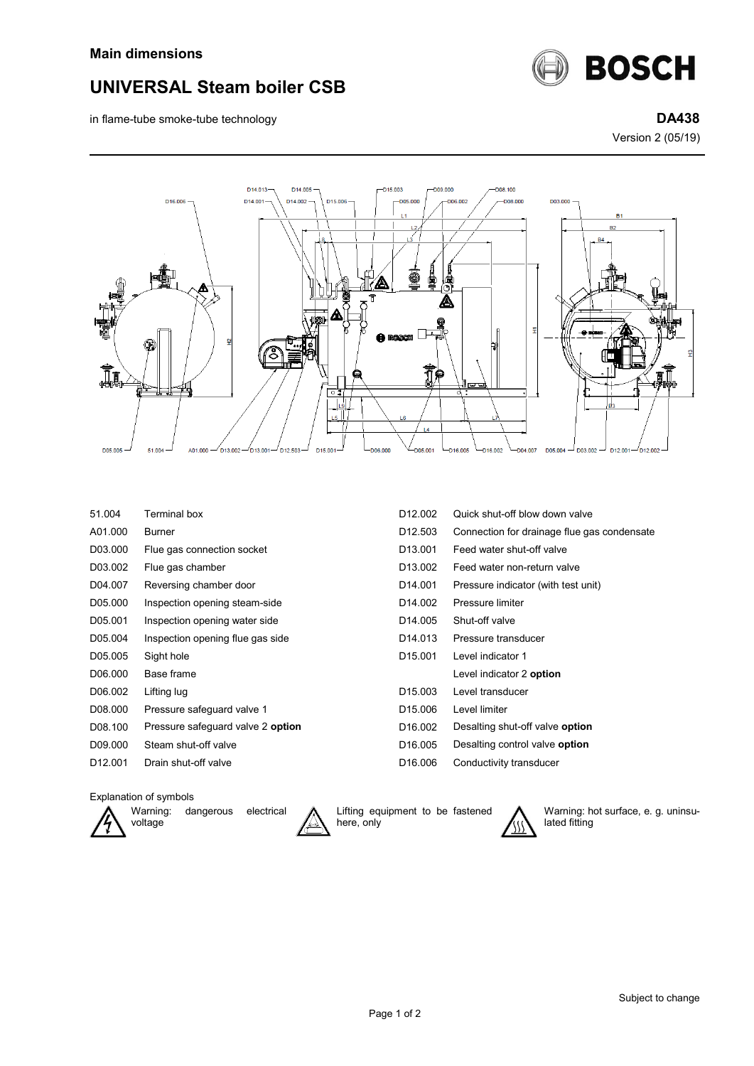

in flame-tube smoke-tube technology **DA438**



Version 2 (05/19)



| 51.004              | Terminal box                      | D <sub>12.002</sub>  | Quick shut-off blow down valve              |
|---------------------|-----------------------------------|----------------------|---------------------------------------------|
| A01.000             | <b>Burner</b>                     | D <sub>12.503</sub>  | Connection for drainage flue gas condensate |
| D03.000             | Flue gas connection socket        | D <sub>13</sub> .001 | Feed water shut-off valve                   |
| D03.002             | Flue gas chamber                  | D <sub>13.002</sub>  | Feed water non-return valve                 |
| D04.007             | Reversing chamber door            | D <sub>14.001</sub>  | Pressure indicator (with test unit)         |
| D05.000             | Inspection opening steam-side     | D <sub>14.002</sub>  | Pressure limiter                            |
| D05.001             | Inspection opening water side     | D <sub>14.005</sub>  | Shut-off valve                              |
| D05.004             | Inspection opening flue gas side  | D <sub>14.013</sub>  | Pressure transducer                         |
| D05.005             | Sight hole                        | D <sub>15.001</sub>  | Level indicator 1                           |
| D06.000             | Base frame                        |                      | Level indicator 2 option                    |
| D06.002             | Lifting lug                       | D <sub>15.003</sub>  | Level transducer                            |
| D08.000             | Pressure safeguard valve 1        | D <sub>15.006</sub>  | Level limiter                               |
| D08.100             | Pressure safequard valve 2 option | D <sub>16.002</sub>  | Desalting shut-off valve option             |
| D09.000             | Steam shut-off valve              | D <sub>16.005</sub>  | Desalting control valve <b>option</b>       |
| D <sub>12.001</sub> | Drain shut-off valve              | D <sub>16.006</sub>  | Conductivity transducer                     |

## Explanation of symbols



Warning: dangerous electrical



Lifting equipment to be fastened here, only



Warning: hot surface, e. g. uninsulated fitting